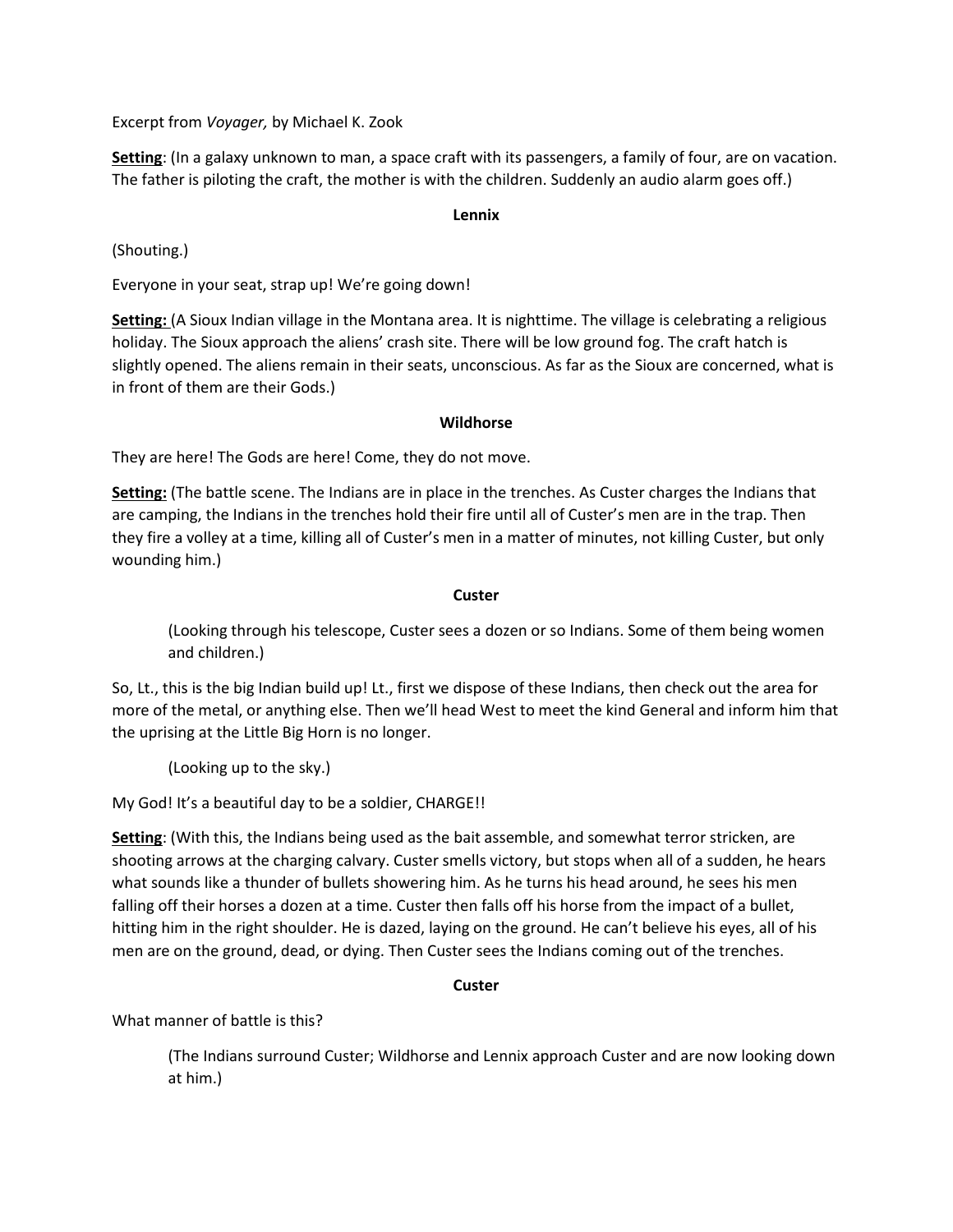Excerpt from *Voyager,* by Michael K. Zook

**Setting**: (In a galaxy unknown to man, a space craft with its passengers, a family of four, are on vacation. The father is piloting the craft, the mother is with the children. Suddenly an audio alarm goes off.)

## **Lennix**

(Shouting.)

Everyone in your seat, strap up! We're going down!

**Setting:** (A Sioux Indian village in the Montana area. It is nighttime. The village is celebrating a religious holiday. The Sioux approach the aliens' crash site. There will be low ground fog. The craft hatch is slightly opened. The aliens remain in their seats, unconscious. As far as the Sioux are concerned, what is in front of them are their Gods.)

## **Wildhorse**

They are here! The Gods are here! Come, they do not move.

**Setting:** (The battle scene. The Indians are in place in the trenches. As Custer charges the Indians that are camping, the Indians in the trenches hold their fire until all of Custer's men are in the trap. Then they fire a volley at a time, killing all of Custer's men in a matter of minutes, not killing Custer, but only wounding him.)

#### **Custer**

(Looking through his telescope, Custer sees a dozen or so Indians. Some of them being women and children.)

So, Lt., this is the big Indian build up! Lt., first we dispose of these Indians, then check out the area for more of the metal, or anything else. Then we'll head West to meet the kind General and inform him that the uprising at the Little Big Horn is no longer.

(Looking up to the sky.)

My God! It's a beautiful day to be a soldier, CHARGE!!

**Setting**: (With this, the Indians being used as the bait assemble, and somewhat terror stricken, are shooting arrows at the charging calvary. Custer smells victory, but stops when all of a sudden, he hears what sounds like a thunder of bullets showering him. As he turns his head around, he sees his men falling off their horses a dozen at a time. Custer then falls off his horse from the impact of a bullet, hitting him in the right shoulder. He is dazed, laying on the ground. He can't believe his eyes, all of his men are on the ground, dead, or dying. Then Custer sees the Indians coming out of the trenches.

## **Custer**

What manner of battle is this?

(The Indians surround Custer; Wildhorse and Lennix approach Custer and are now looking down at him.)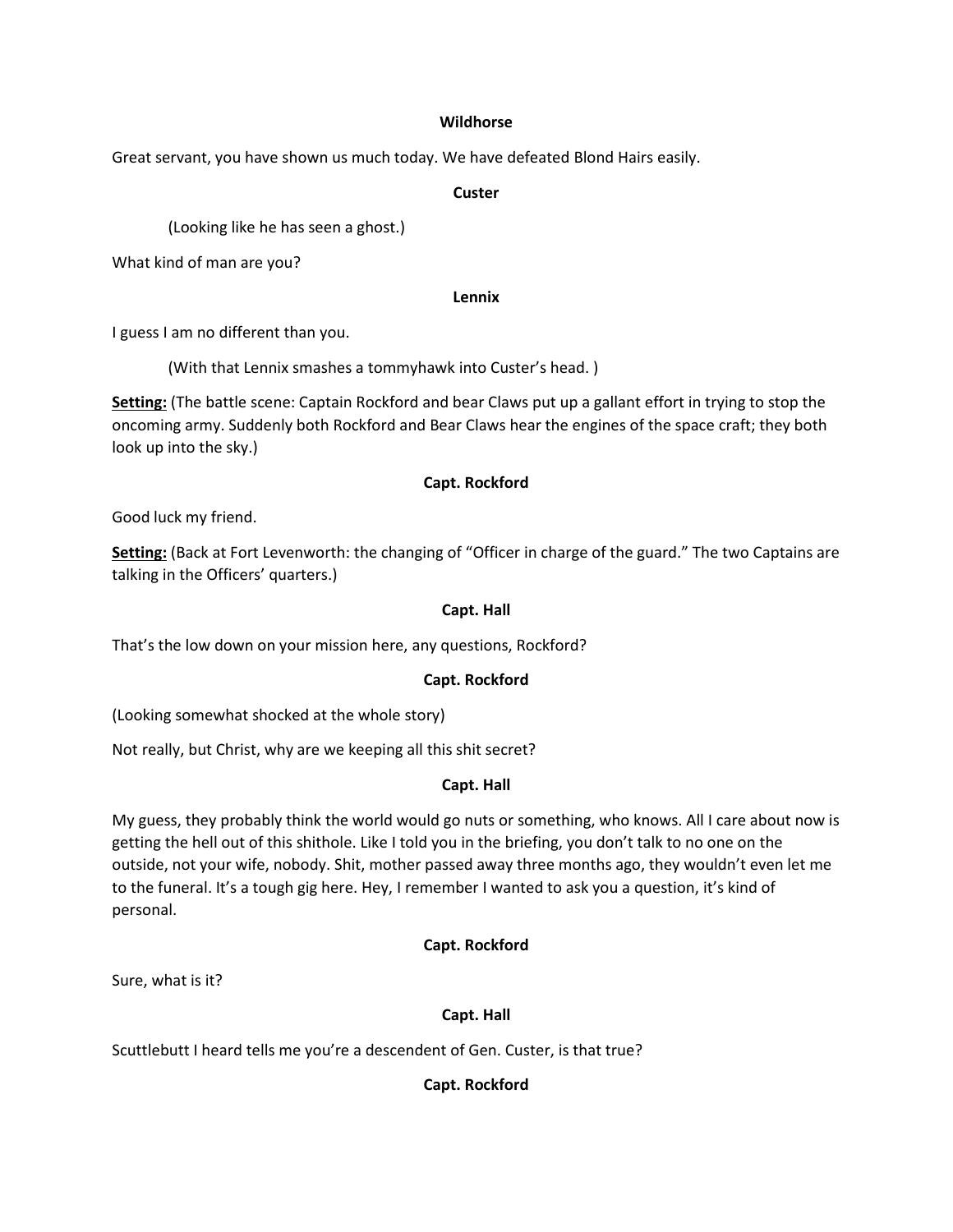#### **Wildhorse**

Great servant, you have shown us much today. We have defeated Blond Hairs easily.

#### **Custer**

(Looking like he has seen a ghost.)

What kind of man are you?

#### **Lennix**

I guess I am no different than you.

(With that Lennix smashes a tommyhawk into Custer's head. )

**Setting:** (The battle scene: Captain Rockford and bear Claws put up a gallant effort in trying to stop the oncoming army. Suddenly both Rockford and Bear Claws hear the engines of the space craft; they both look up into the sky.)

## **Capt. Rockford**

Good luck my friend.

**Setting:** (Back at Fort Levenworth: the changing of "Officer in charge of the guard." The two Captains are talking in the Officers' quarters.)

## **Capt. Hall**

That's the low down on your mission here, any questions, Rockford?

## **Capt. Rockford**

(Looking somewhat shocked at the whole story)

Not really, but Christ, why are we keeping all this shit secret?

## **Capt. Hall**

My guess, they probably think the world would go nuts or something, who knows. All I care about now is getting the hell out of this shithole. Like I told you in the briefing, you don't talk to no one on the outside, not your wife, nobody. Shit, mother passed away three months ago, they wouldn't even let me to the funeral. It's a tough gig here. Hey, I remember I wanted to ask you a question, it's kind of personal.

# **Capt. Rockford**

Sure, what is it?

# **Capt. Hall**

Scuttlebutt I heard tells me you're a descendent of Gen. Custer, is that true?

# **Capt. Rockford**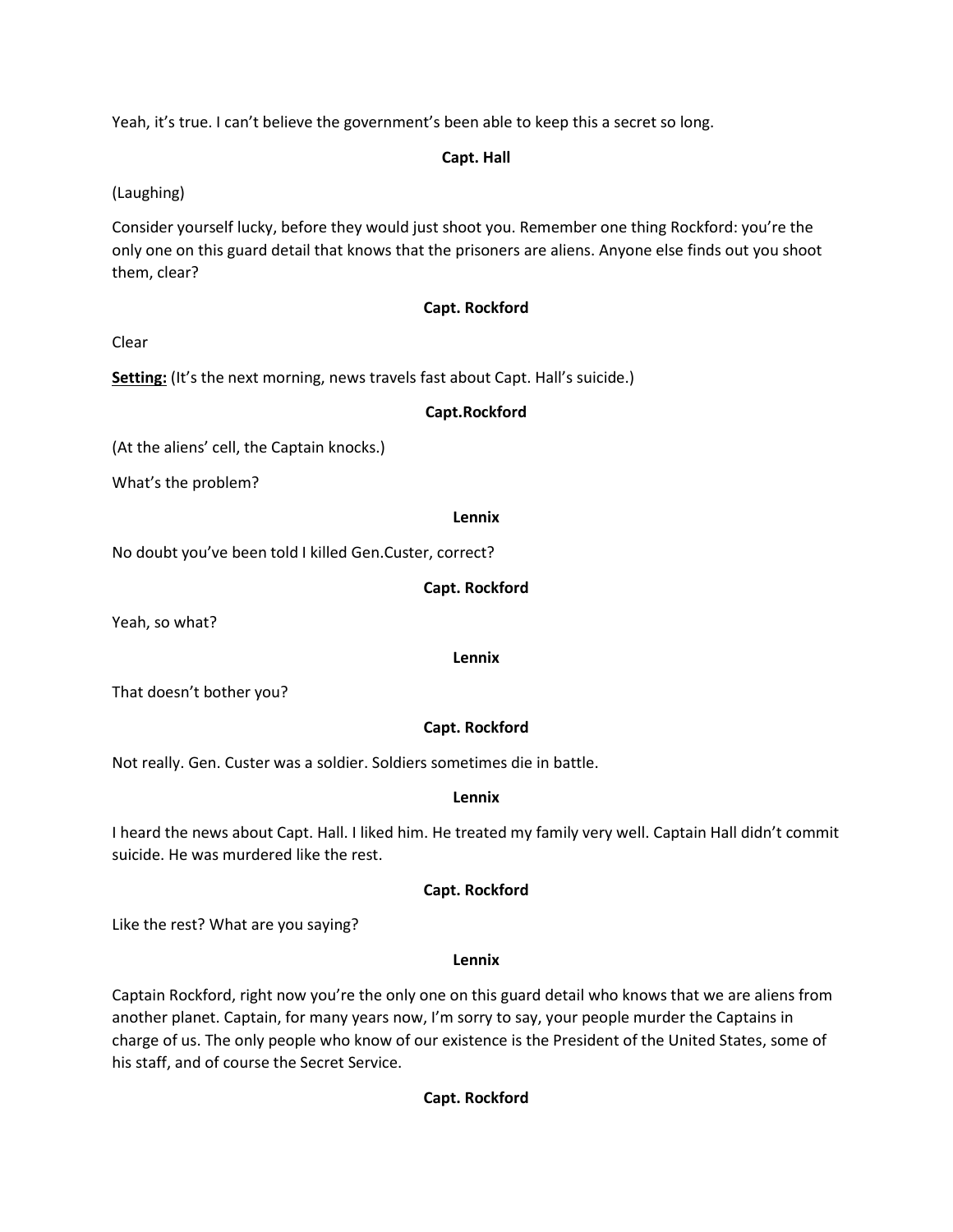Yeah, it's true. I can't believe the government's been able to keep this a secret so long.

## **Capt. Hall**

(Laughing)

Consider yourself lucky, before they would just shoot you. Remember one thing Rockford: you're the only one on this guard detail that knows that the prisoners are aliens. Anyone else finds out you shoot them, clear?

# **Capt. Rockford**

Clear

**Setting:** (It's the next morning, news travels fast about Capt. Hall's suicide.)

# **Capt.Rockford**

(At the aliens' cell, the Captain knocks.)

What's the problem?

**Lennix**

No doubt you've been told I killed Gen.Custer, correct?

# **Capt. Rockford**

Yeah, so what?

## **Lennix**

That doesn't bother you?

# **Capt. Rockford**

Not really. Gen. Custer was a soldier. Soldiers sometimes die in battle.

# **Lennix**

I heard the news about Capt. Hall. I liked him. He treated my family very well. Captain Hall didn't commit suicide. He was murdered like the rest.

# **Capt. Rockford**

Like the rest? What are you saying?

# **Lennix**

Captain Rockford, right now you're the only one on this guard detail who knows that we are aliens from another planet. Captain, for many years now, I'm sorry to say, your people murder the Captains in charge of us. The only people who know of our existence is the President of the United States, some of his staff, and of course the Secret Service.

# **Capt. Rockford**